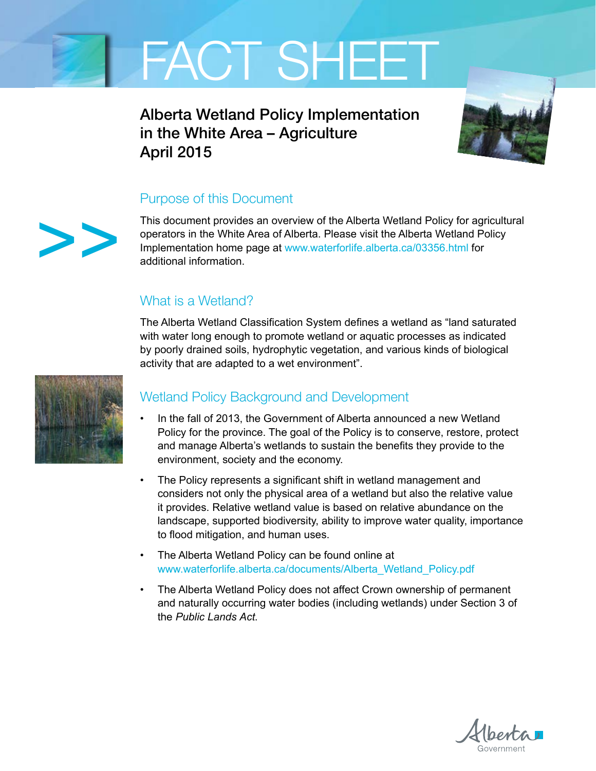

Alberta Wetland Policy Implementation in the White Area – Agriculture April 2015



## Purpose of this Document

This document provides an overview of the Alberta Wetland Policy for agricultural operators in the White Area of Alberta. Please visit the Alberta Wetland Policy Implementation home page at www.waterforlife.alberta.ca/03356.html for additional information.

## What is a Wetland?

The Alberta Wetland Classification System defines a wetland as "land saturated with water long enough to promote wetland or aquatic processes as indicated by poorly drained soils, hydrophytic vegetation, and various kinds of biological activity that are adapted to a wet environment".



>>

## Wetland Policy Background and Development

- In the fall of 2013, the Government of Alberta announced a new Wetland Policy for the province. The goal of the Policy is to conserve, restore, protect and manage Alberta's wetlands to sustain the benefits they provide to the environment, society and the economy.
- The Policy represents a significant shift in wetland management and considers not only the physical area of a wetland but also the relative value it provides. Relative wetland value is based on relative abundance on the landscape, supported biodiversity, ability to improve water quality, importance to flood mitigation, and human uses.
- The Alberta Wetland Policy can be found online at www.waterforlife.alberta.ca/documents/Alberta\_Wetland\_Policy.pdf
- The Alberta Wetland Policy does not affect Crown ownership of permanent and naturally occurring water bodies (including wetlands) under Section 3 of the *Public Lands Act*.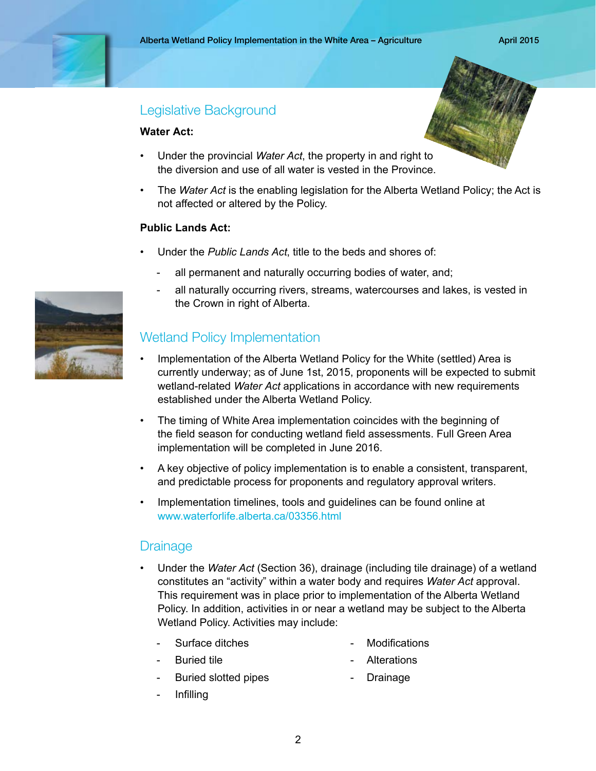## Legislative Background

#### **Water Act:**

- Under the provincial *Water Act*, the property in and right to the diversion and use of all water is vested in the Province.
- The *Water Act* is the enabling legislation for the Alberta Wetland Policy; the Act is not affected or altered by the Policy.

#### **Public Lands Act:**

- Under the *Public Lands Act*, title to the beds and shores of:
	- all permanent and naturally occurring bodies of water, and;
	- all naturally occurring rivers, streams, watercourses and lakes, is vested in the Crown in right of Alberta.

## Wetland Policy Implementation

- Implementation of the Alberta Wetland Policy for the White (settled) Area is currently underway; as of June 1st, 2015, proponents will be expected to submit wetland-related *Water Act* applications in accordance with new requirements established under the Alberta Wetland Policy.
- The timing of White Area implementation coincides with the beginning of the field season for conducting wetland field assessments. Full Green Area implementation will be completed in June 2016.
- A key objective of policy implementation is to enable a consistent, transparent, and predictable process for proponents and regulatory approval writers.
- Implementation timelines, tools and guidelines can be found online at www.waterforlife.alberta.ca/03356.html

## **Drainage**

- Under the *Water Act* (Section 36), drainage (including tile drainage) of a wetland constitutes an "activity" within a water body and requires *Water Act* approval. This requirement was in place prior to implementation of the Alberta Wetland Policy. In addition, activities in or near a wetland may be subject to the Alberta Wetland Policy. Activities may include:
	- Surface ditches  **Modifications** 
		-
	- Buried tile  **Alterations** 
		-
	- Buried slotted pipes **-** Drainage
		-

- Infilling

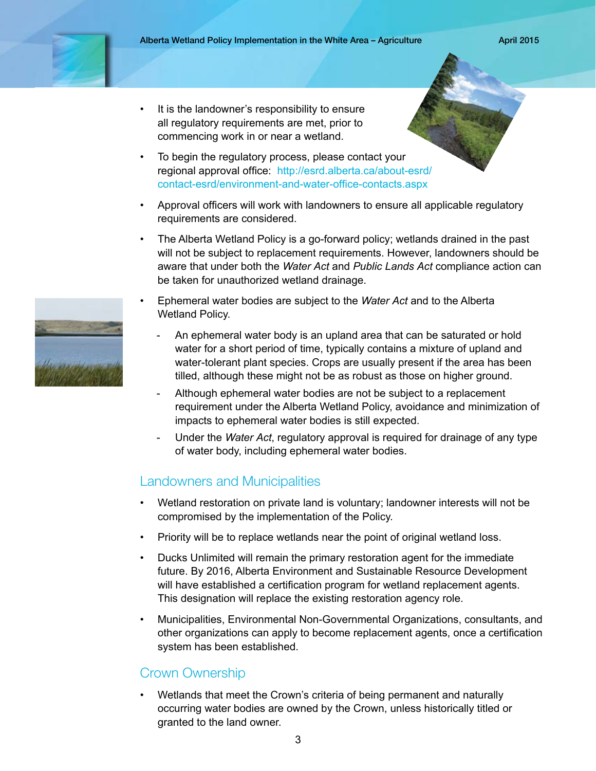- It is the landowner's responsibility to ensure all regulatory requirements are met, prior to commencing work in or near a wetland.
- To begin the regulatory process, please contact your [regional approval office: http://esrd.alberta.ca/about-esrd/](http://esrd.alberta.ca/about-esrd/contact-esrd/environment-and-water-office-contacts.aspx) contact-esrd/environment-and-water-office-contacts.aspx
- Approval officers will work with landowners to ensure all applicable regulatory requirements are considered.
- The Alberta Wetland Policy is a go-forward policy; wetlands drained in the past will not be subject to replacement requirements. However, landowners should be aware that under both the *Water Act* and *Public Lands Act* compliance action can be taken for unauthorized wetland drainage.
- Ephemeral water bodies are subject to the *Water Act* and to the Alberta Wetland Policy.
	- An ephemeral water body is an upland area that can be saturated or hold water for a short period of time, typically contains a mixture of upland and water-tolerant plant species. Crops are usually present if the area has been tilled, although these might not be as robust as those on higher ground.
	- Although ephemeral water bodies are not be subject to a replacement requirement under the Alberta Wetland Policy, avoidance and minimization of impacts to ephemeral water bodies is still expected.
	- Under the *Water Act*, regulatory approval is required for drainage of any type of water body, including ephemeral water bodies.

## Landowners and Municipalities

- Wetland restoration on private land is voluntary; landowner interests will not be compromised by the implementation of the Policy.
- Priority will be to replace wetlands near the point of original wetland loss.
- Ducks Unlimited will remain the primary restoration agent for the immediate future. By 2016, Alberta Environment and Sustainable Resource Development will have established a certification program for wetland replacement agents. This designation will replace the existing restoration agency role.
- Municipalities, Environmental Non-Governmental Organizations, consultants, and other organizations can apply to become replacement agents, once a certification system has been established.

## Crown Ownership

• Wetlands that meet the Crown's criteria of being permanent and naturally occurring water bodies are owned by the Crown, unless historically titled or granted to the land owner.

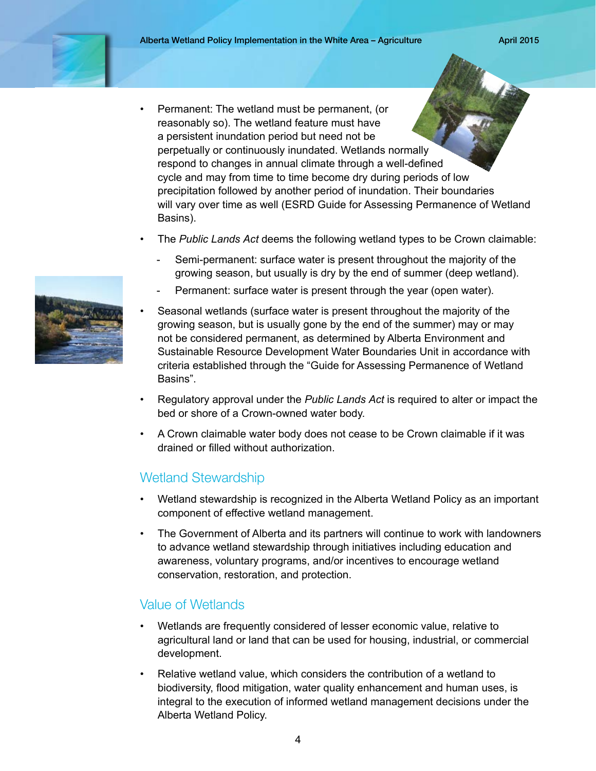- Permanent: The wetland must be permanent, (or reasonably so). The wetland feature must have a persistent inundation period but need not be perpetually or continuously inundated. Wetlands normally respond to changes in annual climate through a well-defined cycle and may from time to time become dry during periods of low precipitation followed by another period of inundation. Their boundaries will vary over time as well (ESRD Guide for Assessing Permanence of Wetland Basins).
- The *Public Lands Act* deems the following wetland types to be Crown claimable:
	- Semi-permanent: surface water is present throughout the majority of the growing season, but usually is dry by the end of summer (deep wetland).
	- Permanent: surface water is present through the year (open water).
- Seasonal wetlands (surface water is present throughout the majority of the growing season, but is usually gone by the end of the summer) may or may not be considered permanent, as determined by Alberta Environment and Sustainable Resource Development Water Boundaries Unit in accordance with criteria established through the "Guide for Assessing Permanence of Wetland Basins".
- Regulatory approval under the *Public Lands Act* is required to alter or impact the bed or shore of a Crown-owned water body.
- A Crown claimable water body does not cease to be Crown claimable if it was drained or filled without authorization.

## Wetland Stewardship

- Wetland stewardship is recognized in the Alberta Wetland Policy as an important component of effective wetland management.
- The Government of Alberta and its partners will continue to work with landowners to advance wetland stewardship through initiatives including education and awareness, voluntary programs, and/or incentives to encourage wetland conservation, restoration, and protection.

## Value of Wetlands

- Wetlands are frequently considered of lesser economic value, relative to agricultural land or land that can be used for housing, industrial, or commercial development.
- Relative wetland value, which considers the contribution of a wetland to biodiversity, flood mitigation, water quality enhancement and human uses, is integral to the execution of informed wetland management decisions under the Alberta Wetland Policy.

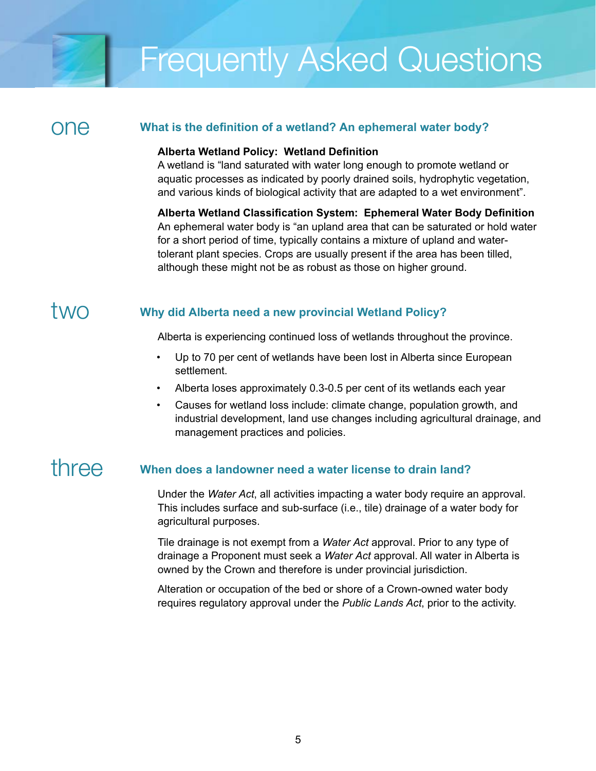# Frequently Asked Questions

## one

## **What is the definition of a wetland? An ephemeral water body?**

#### **Alberta Wetland Policy: Wetland Definition**

A wetland is "land saturated with water long enough to promote wetland or aquatic processes as indicated by poorly drained soils, hydrophytic vegetation, and various kinds of biological activity that are adapted to a wet environment".

**Alberta Wetland Classification System: Ephemeral Water Body Definition** An ephemeral water body is "an upland area that can be saturated or hold water for a short period of time, typically contains a mixture of upland and watertolerant plant species. Crops are usually present if the area has been tilled, although these might not be as robust as those on higher ground.

## two

## **Why did Alberta need a new provincial Wetland Policy?**

Alberta is experiencing continued loss of wetlands throughout the province.

- Up to 70 per cent of wetlands have been lost in Alberta since European settlement.
- Alberta loses approximately 0.3-0.5 per cent of its wetlands each year
- Causes for wetland loss include: climate change, population growth, and industrial development, land use changes including agricultural drainage, and management practices and policies.

## three

## **When does a landowner need a water license to drain land?**

Under the *Water Act*, all activities impacting a water body require an approval. This includes surface and sub-surface (i.e., tile) drainage of a water body for agricultural purposes.

Tile drainage is not exempt from a *Water Act* approval. Prior to any type of drainage a Proponent must seek a *Water Act* approval. All water in Alberta is owned by the Crown and therefore is under provincial jurisdiction.

Alteration or occupation of the bed or shore of a Crown-owned water body requires regulatory approval under the *Public Lands Act*, prior to the activity.